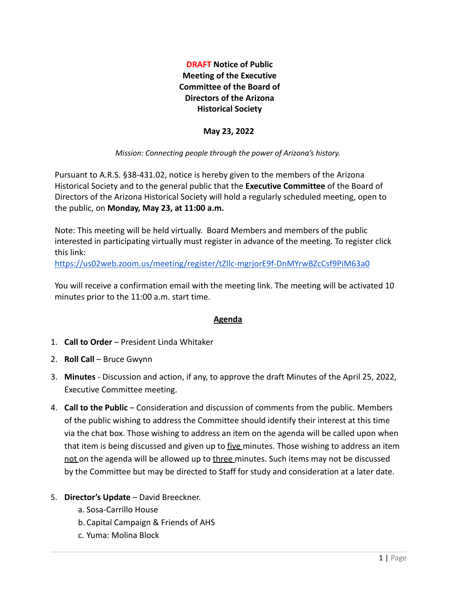**DRAFT Notice of Public Meeting of the Executive Committee of the Board of Directors of the Arizona Historical Society**

## **May 23, 2022**

## *Mission: Connecting people through the power of Arizona's history.*

Pursuant to A.R.S. §38-431.02, notice is hereby given to the members of the Arizona Historical Society and to the general public that the **Executive Committee** of the Board of Directors of the Arizona Historical Society will hold a regularly scheduled meeting, open to the public, on **Monday, May 23, at 11:00 a.m.**

Note: This meeting will be held virtually. Board Members and members of the public interested in participating virtually must register in advance of the meeting. To register click this link:

<https://us02web.zoom.us/meeting/register/tZIlc-mgrjorE9f-DnMYrwBZcCsf9PiM63a0>

You will receive a confirmation email with the meeting link. The meeting will be activated 10 minutes prior to the 11:00 a.m. start time.

## **Agenda**

- 1. **Call to Order** President Linda Whitaker
- 2. **Roll Call** Bruce Gwynn
- 3. **Minutes** Discussion and action, if any, to approve the draft Minutes of the April 25, 2022, Executive Committee meeting.
- 4. **Call to the Public** Consideration and discussion of comments from the public. Members of the public wishing to address the Committee should identify their interest at this time via the chat box. Those wishing to address an item on the agenda will be called upon when that item is being discussed and given up to five minutes. Those wishing to address an item not on the agenda will be allowed up to three minutes. Such items may not be discussed by the Committee but may be directed to Staff for study and consideration at a later date.
- 5. **Director's Update** David Breeckner.
	- a. Sosa-Carrillo House
	- b. Capital Campaign & Friends of AHS
	- c. Yuma: Molina Block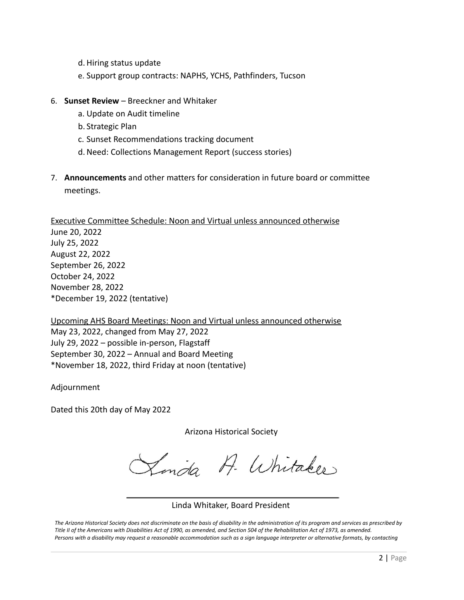- d. Hiring status update
- e. Support group contracts: NAPHS, YCHS, Pathfinders, Tucson
- 6. **Sunset Review** Breeckner and Whitaker
	- a. Update on Audit timeline
	- b. Strategic Plan
	- c. Sunset Recommendations tracking document
	- d.Need: Collections Management Report (success stories)
- 7. **Announcements** and other matters for consideration in future board or committee meetings.

Executive Committee Schedule: Noon and Virtual unless announced otherwise June 20, 2022 July 25, 2022 August 22, 2022 September 26, 2022 October 24, 2022 November 28, 2022 \*December 19, 2022 (tentative)

Upcoming AHS Board Meetings: Noon and Virtual unless announced otherwise May 23, 2022, changed from May 27, 2022 July 29, 2022 – possible in-person, Flagstaff September 30, 2022 – Annual and Board Meeting \*November 18, 2022, third Friday at noon (tentative)

Adjournment

Dated this 20th day of May 2022

Arizona Historical Society

Linda A. Whitaker

## Linda Whitaker, Board President

The Arizona Historical Society does not discriminate on the basis of disability in the administration of its program and services as prescribed by Title II of the Americans with Disabilities Act of 1990, as amended, and Section 504 of the Rehabilitation Act of 1973, as amended. Persons with a disability may request a reasonable accommodation such as a sign language interpreter or alternative formats, by contacting